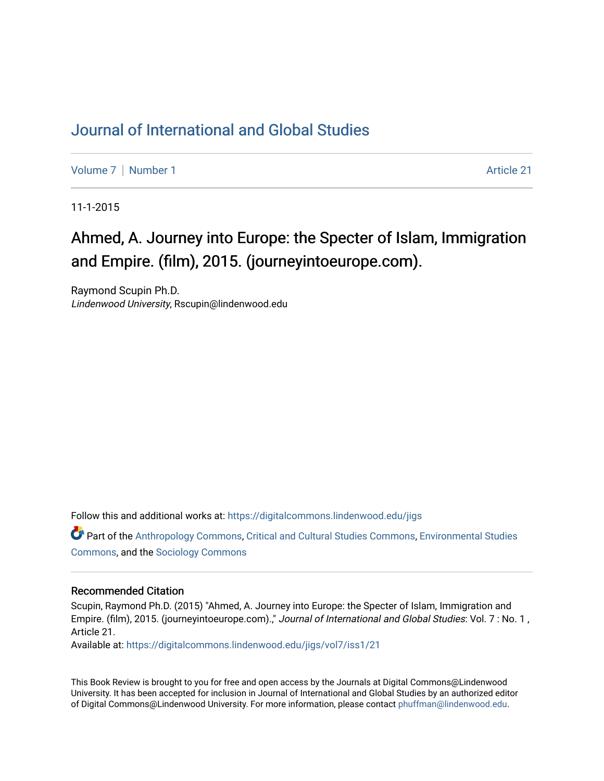## [Journal of International and Global Studies](https://digitalcommons.lindenwood.edu/jigs)

[Volume 7](https://digitalcommons.lindenwood.edu/jigs/vol7) | [Number 1](https://digitalcommons.lindenwood.edu/jigs/vol7/iss1) Article 21

11-1-2015

## Ahmed, A. Journey into Europe: the Specter of Islam, Immigration and Empire. (film), 2015. (journeyintoeurope.com).

Raymond Scupin Ph.D. Lindenwood University, Rscupin@lindenwood.edu

Follow this and additional works at: [https://digitalcommons.lindenwood.edu/jigs](https://digitalcommons.lindenwood.edu/jigs?utm_source=digitalcommons.lindenwood.edu%2Fjigs%2Fvol7%2Fiss1%2F21&utm_medium=PDF&utm_campaign=PDFCoverPages) 

Part of the [Anthropology Commons](http://network.bepress.com/hgg/discipline/318?utm_source=digitalcommons.lindenwood.edu%2Fjigs%2Fvol7%2Fiss1%2F21&utm_medium=PDF&utm_campaign=PDFCoverPages), [Critical and Cultural Studies Commons](http://network.bepress.com/hgg/discipline/328?utm_source=digitalcommons.lindenwood.edu%2Fjigs%2Fvol7%2Fiss1%2F21&utm_medium=PDF&utm_campaign=PDFCoverPages), [Environmental Studies](http://network.bepress.com/hgg/discipline/1333?utm_source=digitalcommons.lindenwood.edu%2Fjigs%2Fvol7%2Fiss1%2F21&utm_medium=PDF&utm_campaign=PDFCoverPages)  [Commons](http://network.bepress.com/hgg/discipline/1333?utm_source=digitalcommons.lindenwood.edu%2Fjigs%2Fvol7%2Fiss1%2F21&utm_medium=PDF&utm_campaign=PDFCoverPages), and the [Sociology Commons](http://network.bepress.com/hgg/discipline/416?utm_source=digitalcommons.lindenwood.edu%2Fjigs%2Fvol7%2Fiss1%2F21&utm_medium=PDF&utm_campaign=PDFCoverPages)

## Recommended Citation

Scupin, Raymond Ph.D. (2015) "Ahmed, A. Journey into Europe: the Specter of Islam, Immigration and Empire. (film), 2015. (journeyintoeurope.com).," Journal of International and Global Studies: Vol. 7 : No. 1 , Article 21.

Available at: [https://digitalcommons.lindenwood.edu/jigs/vol7/iss1/21](https://digitalcommons.lindenwood.edu/jigs/vol7/iss1/21?utm_source=digitalcommons.lindenwood.edu%2Fjigs%2Fvol7%2Fiss1%2F21&utm_medium=PDF&utm_campaign=PDFCoverPages) 

This Book Review is brought to you for free and open access by the Journals at Digital Commons@Lindenwood University. It has been accepted for inclusion in Journal of International and Global Studies by an authorized editor of Digital Commons@Lindenwood University. For more information, please contact [phuffman@lindenwood.edu](mailto:phuffman@lindenwood.edu).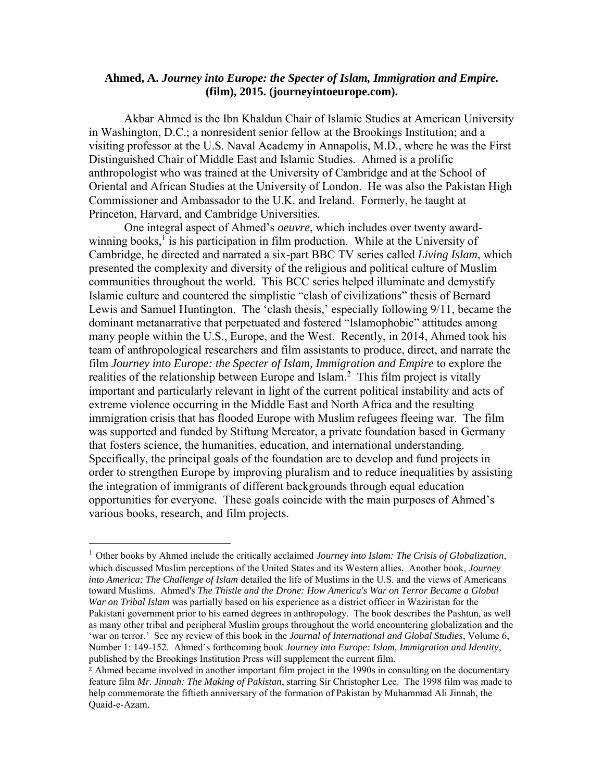## **Ahmed, A.** *Journey into Europe: the Specter of Islam, Immigration and Empire.*  **(film), 2015. (journeyintoeurope.com).**

Akbar Ahmed is the Ibn Khaldun Chair of Islamic Studies at American University in Washington, D.C.; a nonresident senior fellow at the Brookings Institution; and a visiting professor at the U.S. Naval Academy in Annapolis, M.D., where he was the First Distinguished Chair of Middle East and Islamic Studies. Ahmed is a prolific anthropologist who was trained at the University of Cambridge and at the School of Oriental and African Studies at the University of London. He was also the Pakistan High Commissioner and Ambassador to the U.K. and Ireland. Formerly, he taught at Princeton, Harvard, and Cambridge Universities.

 One integral aspect of Ahmed's *oeuvre*, which includes over twenty awardwinning books,<sup>1</sup> is his participation in film production. While at the University of Cambridge, he directed and narrated a six-part BBC TV series called *Living Islam*, which presented the complexity and diversity of the religious and political culture of Muslim communities throughout the world. This BCC series helped illuminate and demystify Islamic culture and countered the simplistic "clash of civilizations" thesis of Bernard Lewis and Samuel Huntington. The 'clash thesis,' especially following 9/11, became the dominant metanarrative that perpetuated and fostered "Islamophobic" attitudes among many people within the U.S., Europe, and the West. Recently, in 2014, Ahmed took his team of anthropological researchers and film assistants to produce, direct, and narrate the film *Journey into Europe: the Specter of Islam, Immigration and Empire* to explore the realities of the relationship between Europe and Islam. $<sup>2</sup>$  This film project is vitally</sup> important and particularly relevant in light of the current political instability and acts of extreme violence occurring in the Middle East and North Africa and the resulting immigration crisis that has flooded Europe with Muslim refugees fleeing war. The film was supported and funded by Stiftung Mercator, a private foundation based in Germany that fosters science, the humanities, education, and international understanding. Specifically, the principal goals of the foundation are to develop and fund projects in order to strengthen Europe by improving pluralism and to reduce inequalities by assisting the integration of immigrants of different backgrounds through equal education opportunities for everyone. These goals coincide with the main purposes of Ahmed's various books, research, and film projects.

 $\overline{\phantom{a}}$ 

<sup>1</sup> Other books by Ahmed include the critically acclaimed *Journey into Islam: The Crisis of Globalization*, which discussed Muslim perceptions of the United States and its Western allies. Another book, *Journey into America: The Challenge of Islam* detailed the life of Muslims in the U.S. and the views of Americans toward Muslims. Ahmed's *The Thistle and the Drone: How America's War on Terror Became a Global War on Tribal Islam* was partially based on his experience as a district officer in Waziristan for the Pakistani government prior to his earned degrees in anthropology. The book describes the Pashtun, as well as many other tribal and peripheral Muslim groups throughout the world encountering globalization and the 'war on terror.' See my review of this book in the *[Journal of International and Global Studies](http://www.lindenwood.edu/jigs)*, Volume 6, Number 1: 149-152. Ahmed's forthcoming book *Journey into Europe: Islam, Immigration and Identity*, published by the Brookings Institution Press will supplement the current film.

<sup>2</sup> Ahmed became involved in another important film project in the 1990s in consulting on the documentary feature film *Mr. Jinnah: The Making of Pakistan*, starring Sir Christopher Lee. The 1998 film was made to help commemorate the fiftieth anniversary of the formation of Pakistan by Muhammad Ali Jinnah, the Quaid-e-Azam.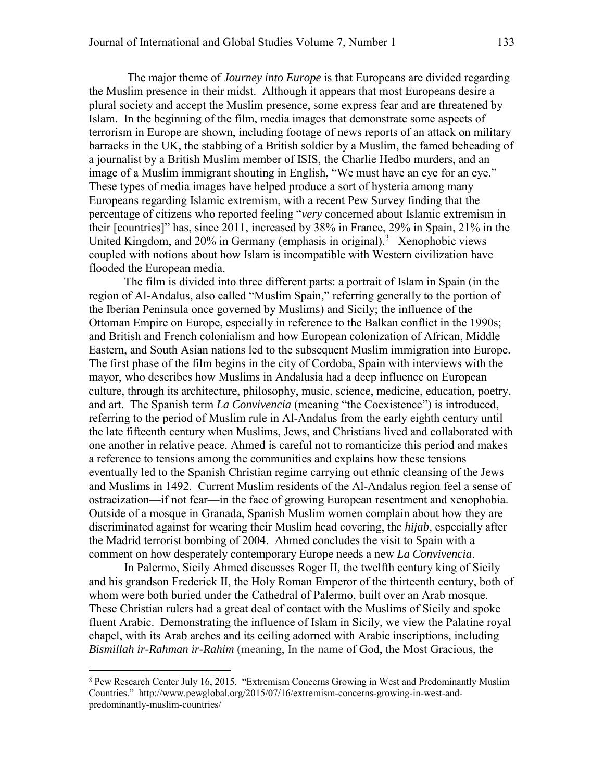The major theme of *Journey into Europe* is that Europeans are divided regarding the Muslim presence in their midst. Although it appears that most Europeans desire a plural society and accept the Muslim presence, some express fear and are threatened by Islam. In the beginning of the film, media images that demonstrate some aspects of terrorism in Europe are shown, including footage of news reports of an attack on military barracks in the UK, the stabbing of a British soldier by a Muslim, the famed beheading of a journalist by a British Muslim member of ISIS, the Charlie Hedbo murders, and an image of a Muslim immigrant shouting in English, "We must have an eye for an eye." These types of media images have helped produce a sort of hysteria among many Europeans regarding Islamic extremism, with a recent Pew Survey finding that the percentage of citizens who reported feeling "*very* concerned about Islamic extremism in their [countries]" has, since 2011, increased by 38% in France, 29% in Spain, 21% in the United Kingdom, and  $20\%$  in Germany (emphasis in original).<sup>3</sup> Xenophobic views coupled with notions about how Islam is incompatible with Western civilization have flooded the European media.

The film is divided into three different parts: a portrait of Islam in Spain (in the region of Al-Andalus, also called "Muslim Spain," referring generally to the portion of the Iberian Peninsula once governed by Muslims) and Sicily; the influence of the Ottoman Empire on Europe, especially in reference to the Balkan conflict in the 1990s; and British and French colonialism and how European colonization of African, Middle Eastern, and South Asian nations led to the subsequent Muslim immigration into Europe. The first phase of the film begins in the city of Cordoba, Spain with interviews with the mayor, who describes how Muslims in Andalusia had a deep influence on European culture, through its architecture, philosophy, music, science, medicine, education, poetry, and art. The Spanish term *La Convivencia* (meaning "the Coexistence") is introduced, referring to the period of Muslim rule in Al-Andalus from the early eighth century until the late fifteenth century when Muslims, Jews, and Christians lived and collaborated with one another in relative peace. Ahmed is careful not to romanticize this period and makes a reference to tensions among the communities and explains how these tensions eventually led to the Spanish Christian regime carrying out ethnic cleansing of the Jews and Muslims in 1492. Current Muslim residents of the Al-Andalus region feel a sense of ostracization—if not fear—in the face of growing European resentment and xenophobia. Outside of a mosque in Granada, Spanish Muslim women complain about how they are discriminated against for wearing their Muslim head covering, the *hijab*, especially after the Madrid terrorist bombing of 2004. Ahmed concludes the visit to Spain with a comment on how desperately contemporary Europe needs a new *La Convivencia*.

In Palermo, Sicily Ahmed discusses Roger II, the twelfth century king of Sicily and his grandson Frederick II, the Holy Roman Emperor of the thirteenth century, both of whom were both buried under the Cathedral of Palermo, built over an Arab mosque. These Christian rulers had a great deal of contact with the Muslims of Sicily and spoke fluent Arabic. Demonstrating the influence of Islam in Sicily, we view the Palatine royal chapel, with its Arab arches and its ceiling adorned with Arabic inscriptions, including *Bismillah ir-Rahman ir-Rahim* (meaning, In the name of [God,](https://en.wikipedia.org/wiki/God_in_Islam) [the Most Gracious,](https://en.wikipedia.org/wiki/Rahman_(Islamic_term)) [the](https://en.wikipedia.org/wiki/Rahim) 

 $\overline{\phantom{a}}$ 

<sup>3</sup> Pew Research Center July 16, 2015. "Extremism Concerns Growing in West and Predominantly Muslim Countries." http://www.pewglobal.org/2015/07/16/extremism-concerns-growing-in-west-andpredominantly-muslim-countries/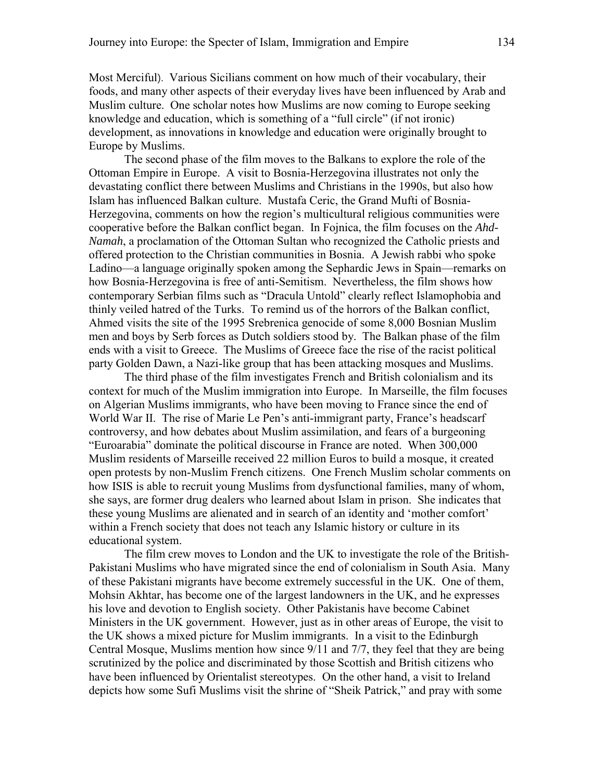[Most Merciful](https://en.wikipedia.org/wiki/Rahim)). Various Sicilians comment on how much of their vocabulary, their foods, and many other aspects of their everyday lives have been influenced by Arab and Muslim culture. One scholar notes how Muslims are now coming to Europe seeking knowledge and education, which is something of a "full circle" (if not ironic) development, as innovations in knowledge and education were originally brought to Europe by Muslims.

The second phase of the film moves to the Balkans to explore the role of the Ottoman Empire in Europe. A visit to Bosnia-Herzegovina illustrates not only the devastating conflict there between Muslims and Christians in the 1990s, but also how Islam has influenced Balkan culture. Mustafa Ceric, the Grand Mufti of Bosnia-Herzegovina, comments on how the region's multicultural religious communities were cooperative before the Balkan conflict began. In Fojnica, the film focuses on the *Ahd-Namah*, a proclamation of the Ottoman Sultan who recognized the Catholic priests and offered protection to the Christian communities in Bosnia. A Jewish rabbi who spoke Ladino—a language originally spoken among the Sephardic Jews in Spain—remarks on how Bosnia-Herzegovina is free of anti-Semitism. Nevertheless, the film shows how contemporary Serbian films such as "Dracula Untold" clearly reflect Islamophobia and thinly veiled hatred of the Turks. To remind us of the horrors of the Balkan conflict, Ahmed visits the site of the 1995 Srebrenica genocide of some 8,000 Bosnian Muslim men and boys by Serb forces as Dutch soldiers stood by. The Balkan phase of the film ends with a visit to Greece. The Muslims of Greece face the rise of the racist political party Golden Dawn, a Nazi-like group that has been attacking mosques and Muslims.

 The third phase of the film investigates French and British colonialism and its context for much of the Muslim immigration into Europe. In Marseille, the film focuses on Algerian Muslims immigrants, who have been moving to France since the end of World War II. The rise of Marie Le Pen's anti-immigrant party, France's headscarf controversy, and how debates about Muslim assimilation, and fears of a burgeoning "Euroarabia" dominate the political discourse in France are noted. When 300,000 Muslim residents of Marseille received 22 million Euros to build a mosque, it created open protests by non-Muslim French citizens. One French Muslim scholar comments on how ISIS is able to recruit young Muslims from dysfunctional families, many of whom, she says, are former drug dealers who learned about Islam in prison. She indicates that these young Muslims are alienated and in search of an identity and 'mother comfort' within a French society that does not teach any Islamic history or culture in its educational system.

 The film crew moves to London and the UK to investigate the role of the British-Pakistani Muslims who have migrated since the end of colonialism in South Asia. Many of these Pakistani migrants have become extremely successful in the UK. One of them, Mohsin Akhtar, has become one of the largest landowners in the UK, and he expresses his love and devotion to English society. Other Pakistanis have become Cabinet Ministers in the UK government. However, just as in other areas of Europe, the visit to the UK shows a mixed picture for Muslim immigrants. In a visit to the Edinburgh Central Mosque, Muslims mention how since 9/11 and 7/7, they feel that they are being scrutinized by the police and discriminated by those Scottish and British citizens who have been influenced by Orientalist stereotypes. On the other hand, a visit to Ireland depicts how some Sufi Muslims visit the shrine of "Sheik Patrick," and pray with some